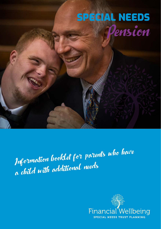# SPECIAL NEEDS Pension

Information booklet for parents who have a child with additional needs

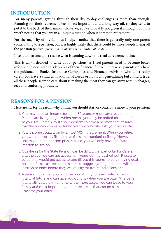### **INTRODUCTION**

For many parents, getting through their day-to-day challenges is more than enough. Planning for their retirement seems less important and a long way off, so they tend to put it to the back of their minds. However, you've probably not given it a thought but it is worth noting that you are in a unique situation when it comes to retirement.

For the majority of my families I help, I notice that there is generally only one parent contributing to a pension, but it is highly likely that there could be three people living off the pension *(parent, spouse and adult child with additional needs)*.

I feel that parents don't realise what is coming down the road at retirement time.

This is why I decided to write about pensions, as I feel parents need to become better informed to deal with this key area of their financial future. Otherwise, parents only have the guidance of Banks, Insurance Companies and Financial Advisors who don't really care if you have a child with additional needs or not. I am generalising but I find it true, all these people seem to care about is making the most they can get away with in charges, fees and confusing products.

# **REASONS FOR A PENSION**

Here are my top 4 reasons why I think you should start or contribute more to your pension:

- 1. You may need an income for up to 30 years or more after you retire. Parents are living longer, which means you may be retired for up to a third of your life. That's why it's so important to have a pension that ensures that the money you earn during your working life lasts your whole life.
- 2. Your income could drop by almost 70% in retirement. When you retire, you would probably like to have the same standard of living. However, unless you put a pension plan in place, you will only have the State Pension to live on.
- 3. Qualifying for the State Pension can be difficult, in particular for Carers, and the age you can get access to it keeps getting pushed out. It used to be parents would get access at age 65 but this seems to be a moving goal post and best-case scenarios seems to suggest younger parents will be at least 68 or older before they will qualify for future State Pensions.
- 4. A pension provides you with the opportunity to take control of your financial future and can give you options when you are older. The better financially you are in retirement, the more assets you can leave to your family and most importantly the more assets that can be passed into a Trust for your child.

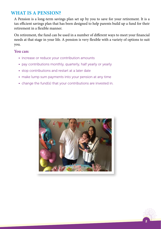# **WHAT IS A PENSION?**

A Pension is a long-term savings plan set up by you to save for your retirement. It is a tax efficient savings plan that has been designed to help parents build up a fund for their retirement in a flexible manner.

On retirement, the fund can be used in a number of different ways to meet your financial needs at that stage in your life. A pension is very flexible with a variety of options to suit you.

#### **You can:**

- increase or reduce your contribution amounts
- pay contributions monthly, quarterly, half yearly or yearly
- stop contributions and restart at a later date
- make lump sum payments into your pension at any time
- change the fund(s) that your contributions are invested in.



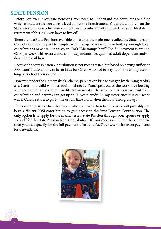## **STATE PENSION**

Before you ever investigate pensions, you need to understand the State Pensions first which should ensure you a basic level of income in retirement. You should not rely on the State Pension alone otherwise you will need to substantially cut back on your lifestyle in retirement if this is all you have to live off.

There are two State Pensions available to parents, the main one is called the State Pension Contribution and is paid to people from the age of 66 who have built up enough PRSI contributions or as we like to say in Cork "Me stamps boy!" The full payment is around €248 per week with extra amounts for dependants, i.e. qualified adult dependant and/or dependent children.

Because the State Pension Contribution is not means tested but based on having sufficient PRSI contribution, this can be an issue for Carers who had to stay out of the workplace for long periods of their career.

However, under the Homemaker's Scheme, parents can bridge this gap by claiming credits as a Carer for a child who has additional needs. Years spent out of the workforce looking after your child, are credited. Credits are awarded at the same rate as your last paid PRSI contribution and parents can get up to 20-years credit. In my experience this can work well if Carers return to part-time or full-time work when their children grow up.

If this is not possible then the Carers who are unable to return to work will probably not have sufficient PRSI contribution to gain access to the State Pension Contribution. The only option is to apply for the means-tested State Pension through your spouse or apply yourself for the State Pension Non-Contributory. If your means are under the set criteria then you may qualify for the full payment of around  $\epsilon$ 237 per week with extra payments for dependants.



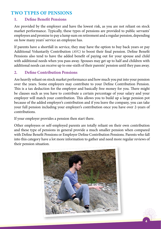# **TWO TYPES OF PENSIONS**

#### **1. Define Benefit Pensions**

Are provided by the employer and have the lowest risk, as you are not reliant on stock market performance. Typically, these types of pensions are provided to public servants' employees and promise to pay a lump sum on retirement and a regular pension, depending on how many years' service an employee has.

If parents have a shortfall in service, they may have the option to buy back years or pay Additional Voluntarily Contribution *(AVC)* to boost their final pension. Define Benefit Pensions also tend to have the added benefit of paying out for your spouse and child with additional needs when you pass away. Spouses may get up to half and children with additional needs can receive up to one-sixth of their parents' pension until they pass away.

#### **2. Define Contribution Pensions**

Are heavily reliant on stock market performance and how much you put into your pension over the years. Some employers may contribute to your Define Contribution Pension. This is a tax deduction for the employer and basically free money for you. There might be clauses such as you have to contribute a certain percentage of your salary and your employer will match your contribution. This allows you to build up a large pension pot because of the added employer's contribution and if you leave the company, you can take your full pension including your employer's contribution once you have over 2-years of contributions.

If your employer provides a pension then start there.

Other employees or self-employed parents are totally reliant on their own contribution and these type of pensions in general provide a much smaller pension when compared with Define Benefit Pensions or Employer Define Contribution Pensions. Parents who fall into this category have a lot more information to gather and need more regular reviews of their pension situation.



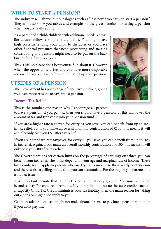# **WHEN TO START A PENSION?**

The industry will always put out slogans such as "it is never too early to start a pension." They will also show you tables and examples of the great benefits in starting a pension when you are really young.

As a parent of a child/children with additional needs knows, life doesn't follow a simple straight line. You might have high costs in sending your child to therapies or you have other financial pressures that need prioritising and starting contributing to a pension might need to be put on the back burner for a few more years.

This is life, so please don't beat yourself up about it. However, when the opportunity arises and you have more disposable income, then you have to focus on building up your pension.

### **UPSIDES OF A PENSION**

The Government has put a range of incentives in place, giving you even more reasons to save into a pension.

#### **Income Tax Relief**



This is the number one reason why I encourage all parents

to have a pension. If you pay tax then you should have a pension, as this will lower the amount of tax and transfer it into your pension fund.

If you are a higher rate taxpayer, for every  $E1$  you save, you can benefit from up to 40% in tax relief. So, if you make an overall monthly contribution of  $\epsilon$ 100, this means it will actually only cost you  $\epsilon$ 60 after tax relief.

If you are a standard rate taxpayer, for every  $E1$  you save, you can benefit from up to 20% in tax relief. Again, if you make an overall monthly contribution of  $\epsilon$ 100, this means it will only cost you €80 after tax relief.

The Government has set certain limits on the percentage of earnings on which you can benefit from tax relief. The limits depend on your age and marginal rate of income. These limits only really apply to parents who are trying to maximise their yearly contribution and there is also a ceiling on the fund you can accumulate. For the majority of parents this is not an issue.

It is important to note that tax relief is not automatically granted. You must apply for it, and satisfy Revenue requirements. If you pay little to no tax because credits such as Incapacity Child Tax Credit minimises your tax liability, then the main reason for taking out a pension might not apply to you.

Get more advice because it might not make financial sense to pay into a pension right now if you don't pay tax.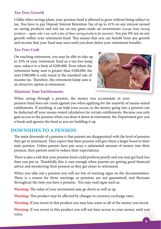#### **Tax-Free Growth**

Unlike other savings plans, your pension fund is allowed to grow without being subject to tax. You have to pay Deposit Interest Retention Tax of up to 41% on any interest earned on saving products and exit tax on any gains made on investments *(except State Saving products – again why I am such a fan of these saving products for parents)*. You pay 0% tax on any growth within your retirement fund. This means that you can benefit from any growth and income that your fund may earn until you draw down your retirement benefits.

#### **Tax-Free Cash**

On reaching retirement, you may be able to take up to 25% of your retirement fund as a tax-free lump sum, subject to a limit of €200,000. Even where the retirement lump sum is greater than  $\epsilon$ 200,000, the next €300,000 is only taxed at the standard rate of income tax. Therefore, the retirement lump sum is an attractive option at retirement.



#### **Maintain Your Entitlements**

When saving through a pension, the money you accumulate in your pension fund does not count against you when applying for the majority of means-tested entitlements. If anything, it can help your access, as the money going into a pension can be deducted off your means-tested calculation for certain entitlements. Because you only gain access to the pension when you draw it down at retirement, the Department give you a break and ignores the fund as you are building it up.

#### **DOWNSIDES TO A PENSION**

The main downside of a pension is that parents are disappointed with the level of pension they get in retirement. They expect that their pension will give them a larger boost to their state pension. Unless parents have put away a substantial amount of money into their pension, then parents need to reduce their expectations.

There is also a risk that your pension fund could perform poorly and you may get back less than you put in. Thankfully this is rare enough when parents are getting good financial advice and monitoring their pension as they get closer to retirement.

When you take out a pension you will see lots of warning signs on the documentation. There is a reason for these warnings as pensions are not guaranteed, and fluctuate throughout the time you have a pension. You may read signs such as:

**Warning:** The value of your investment may go down as well as up.

**Warning:** This product may be affected by changes in currency exchange rates.

**Warning:** If you invest in this product you may lose some or all of the money you invest.

**Warning:** If you invest in this product you will not have access to your money until you retire.

6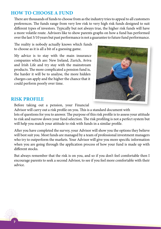# **HOW TO CHOOSE A FUND**

There are thousands of funds to choose from as the industry tries to appeal to all customers preferences. The funds range from very low risk to very high risk funds designed to suit different types of investors. Typically but not always true, the higher risk funds will have a more volatile route. Advisors like to show parents graphs on how a fund has performed over the last 5/10 years but past performance is not a guarantee to future fund performance.

The reality is nobody actually knows which funds to choose as it is all a bit of a guessing game.

My advice is to stay with the main insurance companies which are: New Ireland, Zurich, Aviva and Irish Life and try stay with the mainstream products. The more complicated a pension fund is, the harder it will be to analyse, the more hidden charges can apply and the higher the chance that it could perform poorly over time.



#### **RISK PROFILE**

Before taking out a pension, your Financial

Advisor will carry out a risk profile on you. This is a standard document with lots of questions for you to answer. The purpose of this risk profile is to assess your attitude to risk and narrow down your fund selection. The risk profiling is not a perfect system but will help you match your attitude to risk with funds in a similar profile.

After you have completed the survey, your Advisor will show you the options they believe will best suit you. Most funds are managed by a team of professional investment managers who try to outperform the markets. Your Advisor will give you more specific information when you are going through the application process of how your fund is made up with different stocks.

But always remember that the risk is on you, and so if you don't feel comfortable then I encourage parents to seek a second Advisor, to see if you feel more comfortable with their advice.

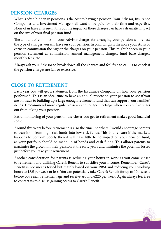#### **PENSION CHARGES**

What is often hidden in pensions is the cost to having a pension. Your Advisor, Insurance Companies and Investment Managers all want to be paid for their time and expertise. None of us have an issue in this but the impact of these charges can have a dramatic impact on the size of your final pension fund.

The amount of commission your Advisor charges for arranging your pension will reflect the type of charges you will have on your pension. In plain English the more your Advisor earns in commission the higher the charges on your pension. This might be seen in your pension statement as commission, annual management charges, fund base charges, monthly fees, etc.

Always ask your Advisor to break down all the charges and feel free to call us to check if the pension charges are fair or excessive.

#### **CLOSE TO RETIREMENT**

Each year you will get a statement from the Insurance Company on how your pension performed. This is an ideal time to have an annual review on your pension to see if you are on track to building up a large enough retirement fund that can support your families' needs. I recommend more regular reviews and longer meetings when you are five years out from taking your pension.

Extra monitoring of your pension the closer you get to retirement makes good financial sense

Around five years before retirement is also the timeline where I would encourage parents to transition from high-risk funds into low-risk funds. This is to ensure if the markets happens to perform poorly then it will have little to no impact on your pension fund, as your portfolio should be made up of bonds and cash funds. This allows parents to maximise the growth in their pension at the early years and minimise the potential losses just before you take your retirement.

Another consideration for parents is reducing your hours in work as you come closer to retirement and utilising Carer's Benefit to subsidise your income. Remember, Carer's Benefit is not means tested but mainly based on your PRSI and reducing your working hours to 18.5 per week or less. You can potentially take Carer's Benefit for up to 104-weeks before you reach retirement age and receive around  $\epsilon$ 220 per week. Again always feel free to contact us to discuss gaining access to Carer's Benefit.

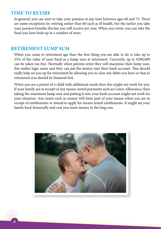### **TIME TO RETIRE**

In general, you can start to take your pension at any time between ages 60 and 75. There are some exceptions for retiring earlier than 60 such as ill health, but the earlier you take your pension benefits the less you will receive per year. When you retire, you can take the fund you have built up in a number of ways.

#### **RETIREMENT LUMP SUM**

When you come to retirement age then the first thing you are able to do is take up to 25% of the value of your fund as a lump sum at retirement. Currently, up to  $\epsilon$ 200,000 can be taken tax free. Normally when parents retire they will maximise their lump sum, this makes logic sense and they can put the money into their bank account. This should really help set you up for retirement by allowing you to clear any debts you have so that in retirement you should be financial free.

When you are a parent of a child with additional needs then this might not work for you. If your family are in receipt of any means-tested payments such as Carers Allowance, then taking the maximum lump sum and putting it into your bank account might not work for your situation. Any assets such as money will form part of your means when you are in receipt of entitlements or intend to apply for means-tested entitlements. It might set your family back financially and cost you more money in the long run.



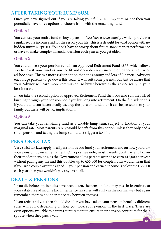# **AFTER TAKING YOUR LUMP SUM**

Once you have figured out if you are taking your full 25% lump sum or not then you potentially have three options to choose from with the remaining fund.

#### **Option 1**

You can use your entire fund to buy a pension *(also known as an annuity)*, which provides a regular secure income paid for the rest of your life. This is a straight forward option with no hidden future surprises. You don't have to worry about future stock market performance or have to make complex financial decision each year as you get older.

#### **Option 2**

You could invest your pension fund in an Approved Retirement Fund *(ARF)* which allows you to invest your fund as you see fit and draw down an income on either a regular or ad-hoc basis. This is a more riskier option than the annuity and lots of Financial Advisors encourage parents to go down this road. It will suit some parents, but just be aware that your Advisor will earn more commission, so buyer beware: is the advice really in your best interest.

If you take the second option of Approved Retirement Fund then you also run the risk of burning through your pension pot if you live long into retirement. On the flip side to this if you die and you haven't really used up the pension fund, then it can be passed on to your family but there will be tax implications.

#### **Option 3**

You can take your remaining fund as a taxable lump sum, subject to taxation at your marginal rate. Most parents rarely would benefit from this option unless they only had a small pension and taking the lump sum didn't trigger a tax bill.

### **PENSIONS & TAX**

Very strict tax laws apply to all pensions as you fund your retirement and on how you draw your pension down in retirement. On a positive note, most parents don't pay any tax on their modest pensions, as the Government allow parents over 65 to earn  $\epsilon$ 18,000 per year without paying any tax and this doubles up to  $\epsilon$ 36,000 for couples. This would mean that if you are a couple over the age of 65 your pension and earned income is below the  $\epsilon$ 36,000 each year then you wouldn't pay any tax at all.

### **DEATH & PENSIONS**

If you die before any benefits have been taken, the pension fund may pass in its entirety to your estate free of income tax. Inheritance tax rules will apply in the normal way but again remember, there is no inheritance tax between spouses.

If you retire and you then should die after you have taken your pension benefits, different rules will apply, depending on how you took your pension in the first place. There are even options available to parents at retirement to ensure their pension continues for their spouse when they pass away.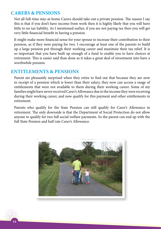### **CARERS & PENSIONS**

Not all full-time stay-at-home Carers should take out a private pension. The reason I say this is that if you don't have income from work then it is highly likely that you will have little to no tax liability. As I mentioned earlier, if you are not paying tax then you will get very little financial benefit in having a pension.

It might make more financial sense for your spouse to increase their contribution to their pension, as if they were paying for two. I encourage at least one of the parents to build up a large pension pot through their working career and maximise their tax relief. It is so important that you have built up enough of a fund to enable you to have choices at retirement. This is easier said than done as it takes a great deal of investment into have a worthwhile pension.

#### **ENTITLEMENTS & PENSIONS**

Parent are pleasantly surprised when they retire to find out that because they are now in receipt of a pension which is lower than their salary, they now can access a range of entitlements that were not available to them during their working career. Some of my families might have never received Carer's Allowance due to the income they were receiving during their working career, and now qualify for this payment and other entitlements in retirement.

Parents who qualify for the State Pension can still qualify for Carer's Allowance in retirement. The only downside is that the Department of Social Protection do not allow anyone to qualify for two full social welfare payments. So the parent can end up with the full State Pension and half rate Carer's Allowance.



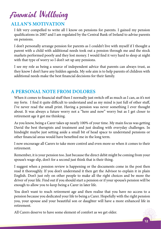# Financial Wellbeing

# **ALLAN'S MOTIVATION**

I felt very compelled to write all I know on pensions for parents. I gained my pension qualifications in 2007 and I am regulated by the Central Bank of Ireland to advise parents on pensions.

I don't personally arrange pension for parents as I couldn't live with myself if I thought a parent with a child with additional needs took out a pension through me and the stock markets performed poorly and they lost money. I would find it very hard to sleep at night with that type of worry so I don't set up any pensions.

I see my role as being a source of independent advice that parents can always trust, as they know I don't have any hidden agenda. My sole aim is to help parents of children with additional needs make the best financial decisions for their family.

# **A PERSONAL NOTE FROM DOLORES**

When it comes to financial stuff then I normally just switch off as much as I can, as it's not my forte. I find it quite difficult to understand and as my mind is just full of other stuff, I've never read the small print. Having a pension was never something I ever thought about. It was always a future worry not a "here and now" worry but as I get closer to retirement age it got me thinking.

As you know, being a Carer takes up nearly 100% of your time. My main focus was getting David the best therapists and treatment and just dealing with everyday challenges. In hindsight maybe just setting aside a small bit of head space to understand pensions or other financial areas would have benefited me in the long term.

I now encourage all Carers to take more control and even more so when it comes to their retirement.

Remember, it is your pension too. Just because the direct debit might be coming from your spouse's wage slip, don't for a second just think that is their thing.

I suggest when a pension review is happening or the documents come in the post then read it thoroughly. If you don't understand it then get the Advisor to explain it in plain English. Don't just rely on other people to make all the right choices and be more the driver of your life. Find out if you should start a pension or if your spouse's pension will be enough to allow you to keep being a Carer in later life.

You don't want to reach retirement age and then realise that you have no access to a pension because you dedicated your life to being a Carer. Hopefully with the right pension you, your spouse and your beautiful son or daughter will have a more enhanced life in retirement.

All Carers deserve to have some element of comfort as we get older.

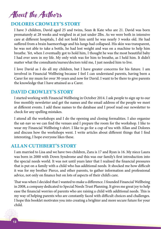# About the Authors

# **DOLORES CROWLEY'S STORY**

I have 3 children, David aged 25 and twins, Sean & Kate who are 21. David was born prematurely at 28 weeks and weighed in at just under 2lbs. As we were both in intensive care at different hospitals, I did not hold him until he was nearly 3 weeks old. He had suffered from a brain haemorrhage and his lungs had collapsed. His skin was transparent, he was not able to take a bottle, he had lost weight and was on a machine to help him breathe. Yet, when I eventually got to hold him, I thought he was the most beautiful baby I had ever seen in my life. My only wish was for him to breathe, as I held him. It didn't matter what the consultants/nurses/doctors told me, I just needed him to live.

I love David as I do all my children, but I have greater concerns for his future. I am involved in Financial Wellbeing because I feel I can understand parents, having been a Carer for my mum for over 30-years and now for David. I want to be there to give parents the knowledge that I have attained as a Carer.

#### **DAVID CROWLEY'S STORY**

I started working with Financial Wellbeing in October 2014. I ask people to sign up to our free monthly newsletter and get the names and the email address of the people we meet at different events. I add these names to the database and I proof read our newsletter to check for any spelling mistakes.

I attend all the workshops and I do the opening and closing formalities. I also organise the sat-nav so we can find the venues and I prepare the room for the workshop. I like to wear my Financial Wellbeing t-shirt. I like to go for a cup of tea with Allan and Dolores and discuss how the workshops went. I write articles about different things that I find interesting, I hope everyone likes these.

### **ALLAN CUTHBERT'S STORY**

I am married to Lisa and we have two children, Zara is 17 and Ryan is 16. My niece Laura was born in 2000 with Down Syndrome and this was our family's first introduction into the special needs world. It was not until years later that I realised the financial pressures that is put on a family with a child who has additional needs. It shocked me how difficult it was for my brother Pierce, and other parents, to gather information and professional advice, not only on finance but on lots of aspects of their child's care.

That was when I decided that I wanted to make a difference. I founded Financial Wellbeing in 2008, a company dedicated to Special Needs Trust Planning. It gives me great joy to help ease the financial worries of parents who are raising a child with additional needs. This is my way of helping parents who are constantly faced with difficult choices and challenges. I hope this booklet motivates you into creating a brighter and more secure future for your child.

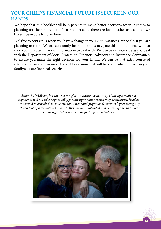# **YOUR CHILD'S FINANCIAL FUTURE IS SECURE IN OUR HANDS**

We hope that this booklet will help parents to make better decisions when it comes to planning for their retirement. Please understand there are lots of other aspects that we haven't been able to cover here.

Feel free to contact us when you have a change in your circumstances, especially if you are planning to retire. We are constantly helping parents navigate this difficult time with so much complicated financial information to deal with. We can be on your side as you deal with the Department of Social Protection, Financial Advisors and Insurance Companies, to ensure you make the right decision for your family. We can be that extra source of information so you can make the right decisions that will have a positive impact on your family's future financial security.

*Financial Wellbeing has made every effort to ensure the accuracy of the information it supplies, it will not take responsibility for any information which may be incorrect. Readers are advised to consult their solicitor, accountant and professional advisors before taking any steps on foot of information provided. This booklet is intended as a general guide and should not be regarded as a substitute for professional advice.*